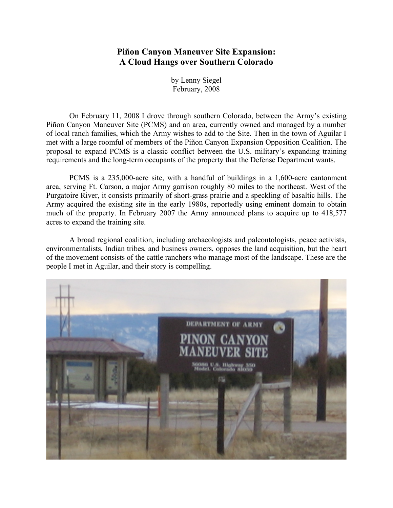## **Piñon Canyon Maneuver Site Expansion: A Cloud Hangs over Southern Colorado**

by Lenny Siegel February, 2008

On February 11, 2008 I drove through southern Colorado, between the Army's existing Piñon Canyon Maneuver Site (PCMS) and an area, currently owned and managed by a number of local ranch families, which the Army wishes to add to the Site. Then in the town of Aguilar I met with a large roomful of members of the Piñon Canyon Expansion Opposition Coalition. The proposal to expand PCMS is a classic conflict between the U.S. military's expanding training requirements and the long-term occupants of the property that the Defense Department wants.

PCMS is a 235,000-acre site, with a handful of buildings in a 1,600-acre cantonment area, serving Ft. Carson, a major Army garrison roughly 80 miles to the northeast. West of the Purgatoire River, it consists primarily of short-grass prairie and a speckling of basaltic hills. The Army acquired the existing site in the early 1980s, reportedly using eminent domain to obtain much of the property. In February 2007 the Army announced plans to acquire up to 418,577 acres to expand the training site.

A broad regional coalition, including archaeologists and paleontologists, peace activists, environmentalists, Indian tribes, and business owners, opposes the land acquisition, but the heart of the movement consists of the cattle ranchers who manage most of the landscape. These are the people I met in Aguilar, and their story is compelling.

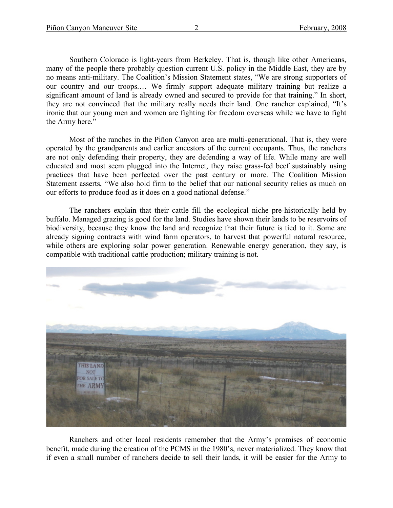Southern Colorado is light-years from Berkeley. That is, though like other Americans, many of the people there probably question current U.S. policy in the Middle East, they are by no means anti-military. The Coalition's Mission Statement states, "We are strong supporters of our country and our troops.… We firmly support adequate military training but realize a significant amount of land is already owned and secured to provide for that training." In short, they are not convinced that the military really needs their land. One rancher explained, "It's ironic that our young men and women are fighting for freedom overseas while we have to fight the Army here."

Most of the ranches in the Piñon Canyon area are multi-generational. That is, they were operated by the grandparents and earlier ancestors of the current occupants. Thus, the ranchers are not only defending their property, they are defending a way of life. While many are well educated and most seem plugged into the Internet, they raise grass-fed beef sustainably using practices that have been perfected over the past century or more. The Coalition Mission Statement asserts, "We also hold firm to the belief that our national security relies as much on our efforts to produce food as it does on a good national defense."

The ranchers explain that their cattle fill the ecological niche pre-historically held by buffalo. Managed grazing is good for the land. Studies have shown their lands to be reservoirs of biodiversity, because they know the land and recognize that their future is tied to it. Some are already signing contracts with wind farm operators, to harvest that powerful natural resource, while others are exploring solar power generation. Renewable energy generation, they say, is compatible with traditional cattle production; military training is not.



Ranchers and other local residents remember that the Army's promises of economic benefit, made during the creation of the PCMS in the 1980's, never materialized. They know that if even a small number of ranchers decide to sell their lands, it will be easier for the Army to